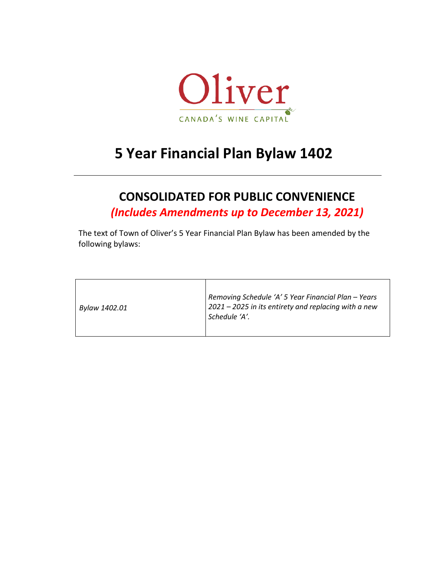

# **5 Year Financial Plan Bylaw 1402**

# **CONSOLIDATED FOR PUBLIC CONVENIENCE**

*(Includes Amendments up to December 13, 2021)*

The text of Town of Oliver's 5 Year Financial Plan Bylaw has been amended by the following bylaws:

| Bylaw 1402.01 | Removing Schedule 'A' 5 Year Financial Plan - Years<br>2021 – 2025 in its entirety and replacing with a new<br>Schedule 'A'. |
|---------------|------------------------------------------------------------------------------------------------------------------------------|
|---------------|------------------------------------------------------------------------------------------------------------------------------|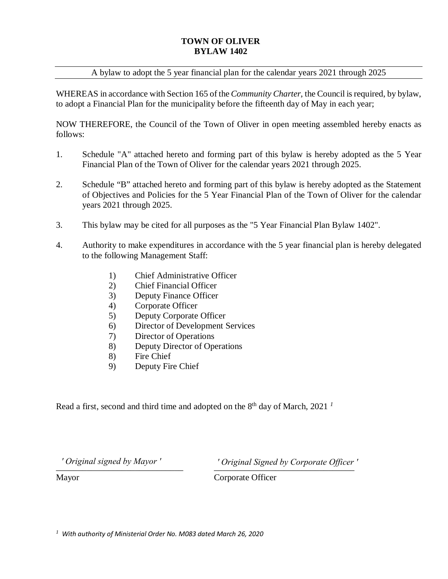#### **TOWN OF OLIVER BYLAW 1402**

#### A bylaw to adopt the 5 year financial plan for the calendar years 2021 through 2025

WHEREAS in accordance with Section 165 of the *Community Charter*, the Council is required, by bylaw, to adopt a Financial Plan for the municipality before the fifteenth day of May in each year;

NOW THEREFORE, the Council of the Town of Oliver in open meeting assembled hereby enacts as follows:

- 1. Schedule "A" attached hereto and forming part of this bylaw is hereby adopted as the 5 Year Financial Plan of the Town of Oliver for the calendar years 2021 through 2025.
- 2. Schedule "B" attached hereto and forming part of this bylaw is hereby adopted as the Statement of Objectives and Policies for the 5 Year Financial Plan of the Town of Oliver for the calendar years 2021 through 2025.
- 3. This bylaw may be cited for all purposes as the "5 Year Financial Plan Bylaw 1402".
- 4. Authority to make expenditures in accordance with the 5 year financial plan is hereby delegated to the following Management Staff:
	- 1) Chief Administrative Officer
	- 2) Chief Financial Officer
	- 3) Deputy Finance Officer
	- 4) Corporate Officer
	- 5) Deputy Corporate Officer
	- 6) Director of Development Services
	- 7) Director of Operations
	- 8) Deputy Director of Operations
	- 8) Fire Chief
	- 9) Deputy Fire Chief

Read a first, second and third time and adopted on the  $8<sup>th</sup>$  day of March, 2021<sup>1</sup>

\_\_\_\_\_\_\_\_\_\_\_\_\_\_\_\_\_\_\_\_\_\_\_\_\_\_\_\_\_ \_\_\_\_\_\_\_\_\_\_\_\_\_\_\_\_\_\_\_\_\_\_\_\_\_\_\_\_\_\_\_\_ *' Original signed by Mayor ' ' Original Signed by Corporate Officer '*

Mayor Corporate Officer

*1 With authority of Ministerial Order No. M083 dated March 26, 2020*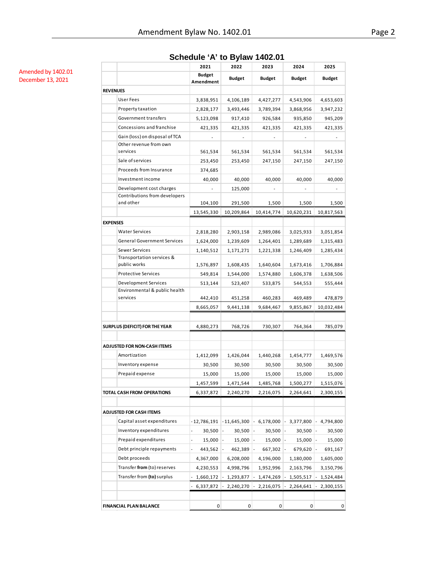# **Schedule 'A' to Bylaw 1402.01**

Amended by 1402.01 December 13, 2021

|                 |                                            | 2021                       | 2022          | 2023          | 2024          | 2025          |
|-----------------|--------------------------------------------|----------------------------|---------------|---------------|---------------|---------------|
|                 |                                            | <b>Budget</b><br>Amendment | <b>Budget</b> | <b>Budget</b> | <b>Budget</b> | <b>Budget</b> |
| <b>REVENUES</b> |                                            |                            |               |               |               |               |
|                 | <b>User Fees</b>                           | 3,838,951                  | 4,106,189     | 4,427,277     | 4,543,906     | 4,653,603     |
|                 | Property taxation                          | 2,828,177                  | 3,493,446     | 3,789,394     | 3,868,956     | 3,947,232     |
|                 | Government transfers                       | 5,123,098                  | 917,410       | 926,584       | 935,850       | 945,209       |
|                 | Concessions and franchise                  | 421,335                    | 421,335       | 421,335       | 421,335       | 421,335       |
|                 | Gain (loss) on disposal of TCA             |                            |               |               |               |               |
|                 | Other revenue from own                     |                            |               |               |               |               |
|                 | services                                   | 561,534                    | 561,534       | 561,534       | 561,534       | 561,534       |
|                 | Sale of services                           | 253,450                    | 253,450       | 247,150       | 247,150       | 247,150       |
|                 | Proceeds from Insurance                    | 374,685                    |               |               |               |               |
|                 | Investment income                          | 40,000                     | 40,000        | 40,000        | 40,000        | 40,000        |
|                 | Development cost charges                   |                            | 125,000       |               |               |               |
|                 | Contributions from developers<br>and other |                            |               |               |               |               |
|                 |                                            | 104,100                    | 291,500       | 1,500         | 1,500         | 1,500         |
|                 |                                            | 13,545,330                 | 10,209,864    | 10,414,774    | 10,620,231    | 10,817,563    |
| <b>EXPENSES</b> |                                            |                            |               |               |               |               |
|                 | <b>Water Services</b>                      | 2,818,280                  | 2,903,158     | 2,989,086     | 3,025,933     | 3,051,854     |
|                 | <b>General Government Services</b>         | 1,624,000                  | 1,239,609     | 1,264,401     | 1,289,689     | 1,315,483     |
|                 | <b>Sewer Services</b>                      | 1,140,512                  | 1,171,271     | 1,221,338     | 1,246,409     | 1,285,434     |
|                 | Transportation services &<br>public works  | 1,576,897                  | 1,608,435     | 1,640,604     | 1,673,416     | 1,706,884     |
|                 | <b>Protective Services</b>                 | 549,814                    | 1,544,000     | 1,574,880     | 1,606,378     | 1,638,506     |
|                 | <b>Development Services</b>                | 513,144                    | 523,407       | 533,875       | 544,553       | 555,444       |
|                 | Environmental & public health<br>services  |                            |               |               |               |               |
|                 |                                            | 442,410                    | 451,258       | 460,283       | 469,489       | 478,879       |
|                 |                                            | 8,665,057                  | 9,441,138     | 9,684,467     | 9,855,867     | 10,032,484    |
|                 |                                            |                            |               |               |               |               |
|                 | SURPLUS (DEFICIT) FOR THE YEAR             | 4,880,273                  | 768,726       | 730,307       | 764,364       | 785,079       |
|                 |                                            |                            |               |               |               |               |
|                 | ADJUSTED FOR NON-CASH ITEMS                |                            |               |               |               |               |
|                 | Amortization                               | 1,412,099                  | 1,426,044     | 1,440,268     | 1,454,777     | 1,469,576     |
|                 | Inventory expense                          | 30,500                     | 30,500        | 30,500        | 30,500        | 30,500        |
|                 | Prepaid expense                            | 15,000                     | 15,000        | 15,000        | 15,000        | 15,000        |
|                 |                                            | 1,457,599                  | 1,471,544     | 1,485,768     | 1,500,277     | 1,515,076     |
|                 | TOTAL CASH FROM OPERATIONS                 | 6,337,872                  | 2,240,270     | 2,216,075     | 2,264,641     | 2,300,155     |
|                 |                                            |                            |               |               |               |               |
|                 | <b>ADJUSTED FOR CASH ITEMS</b>             |                            |               |               |               |               |
|                 | Capital asset expenditures                 | - 12,786,191               | - 11,645,300  | 6,178,000     | 3,377,800     | 4,794,800     |
|                 | Inventory expenditures                     | 30,500                     | 30,500        | 30,500        | 30,500        | 30,500        |
|                 | Prepaid expenditures                       | 15,000                     | 15,000        | 15,000        | 15,000        | 15,000        |
|                 | Debt principle repayments                  | 443,562                    | 462,389       | 667,302       | 679,620       | 691,167       |
|                 | Debt proceeds                              | 4,367,000                  | 6,208,000     | 4,196,000     | 1,180,000     | 1,605,000     |
|                 | Transfer from (to) reserves                | 4,230,553                  | 4,998,796     | 1,952,996     | 2,163,796     | 3,150,796     |
|                 | Transfer from (to) surplus                 | 1,660,172                  | 1,293,877     | 1,474,269     | 1,505,517     | 1,524,484     |
|                 |                                            | 6,337,872                  | 2,240,270     | 2,216,075     | 2,264,641     | 2,300,155     |
|                 |                                            |                            |               |               |               |               |
|                 | FINANCIAL PLAN BALANCE                     | 0                          | 0             | 0             | 0             | 0             |
|                 |                                            |                            |               |               |               |               |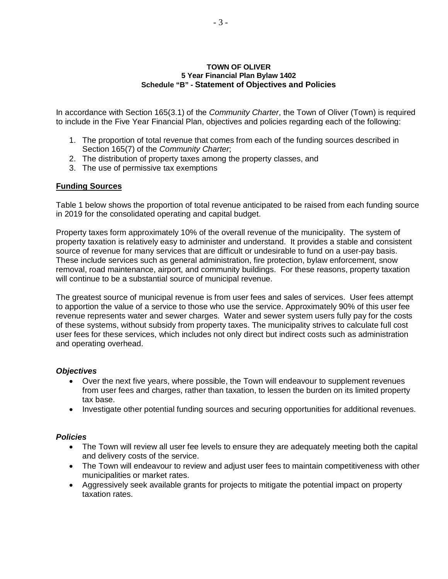#### **TOWN OF OLIVER 5 Year Financial Plan Bylaw 1402 Schedule "B" - Statement of Objectives and Policies**

In accordance with Section 165(3.1) of the *Community Charter*, the Town of Oliver (Town) is required to include in the Five Year Financial Plan, objectives and policies regarding each of the following:

- 1. The proportion of total revenue that comes from each of the funding sources described in Section 165(7) of the *Community Charter*;
- 2. The distribution of property taxes among the property classes, and
- 3. The use of permissive tax exemptions

# **Funding Sources**

Table 1 below shows the proportion of total revenue anticipated to be raised from each funding source in 2019 for the consolidated operating and capital budget.

Property taxes form approximately 10% of the overall revenue of the municipality. The system of property taxation is relatively easy to administer and understand. It provides a stable and consistent source of revenue for many services that are difficult or undesirable to fund on a user-pay basis. These include services such as general administration, fire protection, bylaw enforcement, snow removal, road maintenance, airport, and community buildings. For these reasons, property taxation will continue to be a substantial source of municipal revenue.

The greatest source of municipal revenue is from user fees and sales of services. User fees attempt to apportion the value of a service to those who use the service. Approximately 90% of this user fee revenue represents water and sewer charges. Water and sewer system users fully pay for the costs of these systems, without subsidy from property taxes. The municipality strives to calculate full cost user fees for these services, which includes not only direct but indirect costs such as administration and operating overhead.

#### *Objectives*

- Over the next five years, where possible, the Town will endeavour to supplement revenues from user fees and charges, rather than taxation, to lessen the burden on its limited property tax base.
- Investigate other potential funding sources and securing opportunities for additional revenues.

#### *Policies*

- The Town will review all user fee levels to ensure they are adequately meeting both the capital and delivery costs of the service.
- The Town will endeavour to review and adjust user fees to maintain competitiveness with other municipalities or market rates.
- Aggressively seek available grants for projects to mitigate the potential impact on property taxation rates.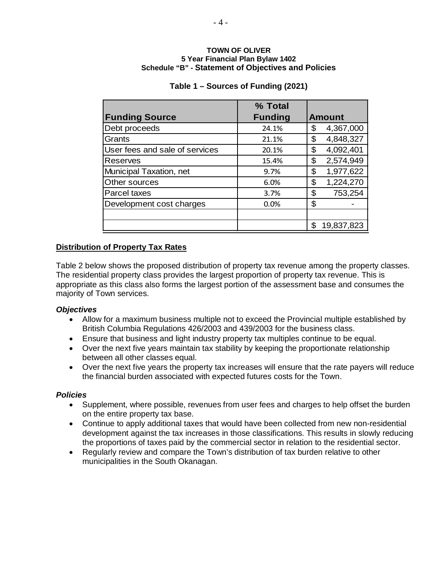#### **TOWN OF OLIVER 5 Year Financial Plan Bylaw 1402 Schedule "B" - Statement of Objectives and Policies**

|                                | % Total        |                  |
|--------------------------------|----------------|------------------|
| <b>Funding Source</b>          | <b>Funding</b> | <b>Amount</b>    |
| Debt proceeds                  | 24.1%          | \$<br>4,367,000  |
| Grants                         | 21.1%          | 4,848,327<br>\$  |
| User fees and sale of services | 20.1%          | \$<br>4,092,401  |
| Reserves                       | 15.4%          | \$<br>2,574,949  |
| Municipal Taxation, net        | 9.7%           | \$<br>1,977,622  |
| Other sources                  | 6.0%           | \$<br>1,224,270  |
| Parcel taxes                   | 3.7%           | \$<br>753,254    |
| Development cost charges       | 0.0%           | \$               |
|                                |                |                  |
|                                |                | \$<br>19,837,823 |

# **Table 1 – Sources of Funding (2021)**

# **Distribution of Property Tax Rates**

Table 2 below shows the proposed distribution of property tax revenue among the property classes. The residential property class provides the largest proportion of property tax revenue. This is appropriate as this class also forms the largest portion of the assessment base and consumes the majority of Town services.

# *Objectives*

- Allow for a maximum business multiple not to exceed the Provincial multiple established by British Columbia Regulations 426/2003 and 439/2003 for the business class.
- Ensure that business and light industry property tax multiples continue to be equal.
- Over the next five years maintain tax stability by keeping the proportionate relationship between all other classes equal.
- Over the next five years the property tax increases will ensure that the rate payers will reduce the financial burden associated with expected futures costs for the Town.

# *Policies*

- Supplement, where possible, revenues from user fees and charges to help offset the burden on the entire property tax base.
- Continue to apply additional taxes that would have been collected from new non-residential development against the tax increases in those classifications. This results in slowly reducing the proportions of taxes paid by the commercial sector in relation to the residential sector.
- Regularly review and compare the Town's distribution of tax burden relative to other municipalities in the South Okanagan.